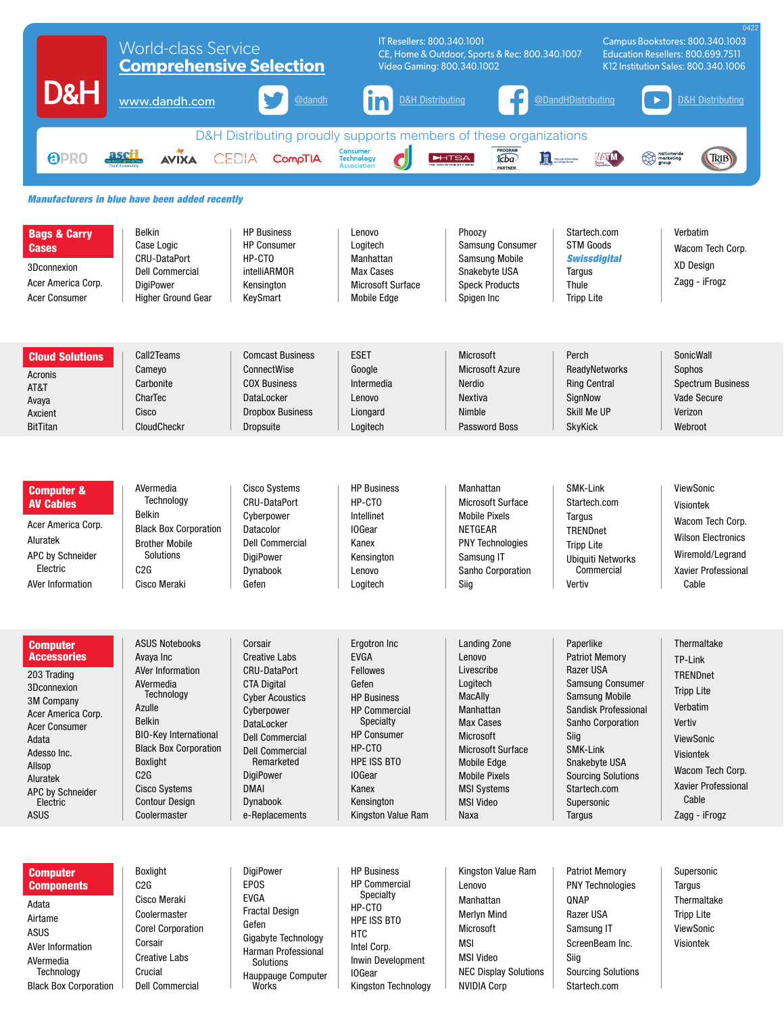|                                                                                                                                                                                                                                            | <b>World-class Service</b><br><b>Comprehensive Selection</b>                                                                                                                                                                                                            |                                                                                                                                                                                                                                                                                     | 0422<br>IT Resellers: 800.340.1001<br>Campus Bookstores: 800.340.1003<br>CE, Home & Outdoor, Sports & Rec: 800.340.1007<br>Education Resellers: 800.699.7511<br>Video Gaming: 800.340.1002<br>K12 Institution Sales: 800.340.1006 |                                                                                                                                                                                                                                              |                                                                                                                                                                                                                                                            |                                                                                                                                                                                                   |  |
|--------------------------------------------------------------------------------------------------------------------------------------------------------------------------------------------------------------------------------------------|-------------------------------------------------------------------------------------------------------------------------------------------------------------------------------------------------------------------------------------------------------------------------|-------------------------------------------------------------------------------------------------------------------------------------------------------------------------------------------------------------------------------------------------------------------------------------|-----------------------------------------------------------------------------------------------------------------------------------------------------------------------------------------------------------------------------------|----------------------------------------------------------------------------------------------------------------------------------------------------------------------------------------------------------------------------------------------|------------------------------------------------------------------------------------------------------------------------------------------------------------------------------------------------------------------------------------------------------------|---------------------------------------------------------------------------------------------------------------------------------------------------------------------------------------------------|--|
| D&H                                                                                                                                                                                                                                        | www.dandh.com                                                                                                                                                                                                                                                           | @dandh                                                                                                                                                                                                                                                                              | <b>D&amp;H Distributing</b><br>In                                                                                                                                                                                                 |                                                                                                                                                                                                                                              | @DandHDistributing                                                                                                                                                                                                                                         | <b>D&amp;H Distributing</b>                                                                                                                                                                       |  |
| <u>ascii</u><br><b>OPRO</b>                                                                                                                                                                                                                | <b>AVIXA</b>                                                                                                                                                                                                                                                            | CEDIA<br><b>CompTIA</b>                                                                                                                                                                                                                                                             | Consumer<br>Technology                                                                                                                                                                                                            | D&H Distributing proudly supports members of these organizations<br>PROGRAM<br>icba<br><b>HTSA</b><br><b>PARTNER</b>                                                                                                                         | <b>In</b> National Association<br>VATM                                                                                                                                                                                                                     | nationwide<br>anarketing<br>TRIB                                                                                                                                                                  |  |
| <b>Manufacturers in blue have been added recently</b>                                                                                                                                                                                      |                                                                                                                                                                                                                                                                         |                                                                                                                                                                                                                                                                                     |                                                                                                                                                                                                                                   |                                                                                                                                                                                                                                              |                                                                                                                                                                                                                                                            |                                                                                                                                                                                                   |  |
| <b>Bags &amp; Carry</b><br>Cases<br>3Dconnexion<br>Acer America Corp.<br><b>Acer Consumer</b>                                                                                                                                              | <b>Belkin</b><br>Case Logic<br><b>CRU-DataPort</b><br><b>Dell Commercial</b><br><b>DigiPower</b><br><b>Higher Ground Gear</b>                                                                                                                                           | <b>HP Business</b><br><b>HP Consumer</b><br>HP-CTO<br>intelliARMOR<br>Kensington<br>KeySmart                                                                                                                                                                                        | Lenovo<br>Logitech<br>Manhattan<br><b>Max Cases</b><br><b>Microsoft Surface</b><br><b>Mobile Edge</b>                                                                                                                             | Phoozy<br>Samsung Consumer<br><b>Samsung Mobile</b><br>Snakebyte USA<br><b>Speck Products</b><br>Spigen Inc                                                                                                                                  | Startech.com<br><b>STM Goods</b><br><b>Swissdigital</b><br>Targus<br>Thule<br><b>Tripp Lite</b>                                                                                                                                                            | Verbatim<br>Wacom Tech Corp.<br><b>XD Design</b><br>Zagg - iFrogz                                                                                                                                 |  |
| <b>Cloud Solutions</b><br>Acronis<br>AT&T<br>Avaya<br>Axcient<br><b>BitTitan</b>                                                                                                                                                           | Call2Teams<br>Cameyo<br>Carbonite<br>CharTec<br>Cisco<br>CloudCheckr                                                                                                                                                                                                    | <b>Comcast Business</b><br>ConnectWise<br><b>COX Business</b><br>DataLocker<br><b>Dropbox Business</b><br><b>Dropsuite</b>                                                                                                                                                          | <b>ESET</b><br>Google<br>Intermedia<br>Lenovo<br>Liongard<br>Logitech                                                                                                                                                             | <b>Microsoft</b><br><b>Microsoft Azure</b><br>Nerdio<br>Nextiva<br>Nimble<br><b>Password Boss</b>                                                                                                                                            | Perch<br>ReadyNetworks<br><b>Ring Central</b><br>SignNow<br>Skill Me UP<br><b>SkyKick</b>                                                                                                                                                                  | SonicWall<br>Sophos<br><b>Spectrum Business</b><br>Vade Secure<br>Verizon<br>Webroot                                                                                                              |  |
|                                                                                                                                                                                                                                            |                                                                                                                                                                                                                                                                         |                                                                                                                                                                                                                                                                                     |                                                                                                                                                                                                                                   |                                                                                                                                                                                                                                              |                                                                                                                                                                                                                                                            |                                                                                                                                                                                                   |  |
| <b>Computer &amp;</b><br><b>AV Cables</b><br>Acer America Corp.<br>Aluratek<br>APC by Schneider<br>Electric<br><b>AVer Information</b>                                                                                                     | AVermedia<br>Technology<br><b>Belkin</b><br><b>Black Box Corporation</b><br><b>Brother Mobile</b><br>Solutions<br>C2G<br>Cisco Meraki                                                                                                                                   | <b>Cisco Systems</b><br><b>CRU-DataPort</b><br>Cyberpower<br>Datacolor<br><b>Dell Commercial</b><br><b>DigiPower</b><br>Dynabook<br>Gefen                                                                                                                                           | <b>HP Business</b><br>HP-CTO<br>Intellinet<br>10Gear<br>Kanex<br>Kensington<br>Lenovo<br>Logitech                                                                                                                                 | Manhattan<br><b>Microsoft Surface</b><br><b>Mobile Pixels</b><br><b>NETGEAR</b><br><b>PNY Technologies</b><br>Samsung IT<br>Sanho Corporation<br>Siig                                                                                        | <b>SMK-Link</b><br>Startech.com<br>Targus<br>TRENDnet<br><b>Tripp Lite</b><br><b>Ubiquiti Networks</b><br>Commercial<br>Vertiv                                                                                                                             | ViewSonic<br><b>Visiontek</b><br>Wacom Tech Corp.<br><b>Wilson Electronics</b><br>Wiremold/Legrand<br>Xavier Professional<br>Cable                                                                |  |
| <b>Computer</b><br><b>Accessories</b><br>203 Trading<br>3Dconnexion<br><b>3M Company</b><br>Acer America Corp.<br><b>Acer Consumer</b><br>Adata<br>Adesso Inc.<br>Allsop<br>Aluratek<br><b>APC by Schneider</b><br>Electric<br><b>ASUS</b> | <b>ASUS Notebooks</b><br>Avaya Inc<br>AVer Information<br>AVermedia<br>Technology<br>Azulle<br><b>Belkin</b><br><b>BIO-Key International</b><br><b>Black Box Corporation</b><br><b>Boxlight</b><br>C2G<br><b>Cisco Systems</b><br><b>Contour Design</b><br>Coolermaster | Corsair<br><b>Creative Labs</b><br><b>CRU-DataPort</b><br><b>CTA Digital</b><br><b>Cyber Acoustics</b><br>Cyberpower<br><b>DataLocker</b><br><b>Dell Commercial</b><br><b>Dell Commercial</b><br>Remarketed<br><b>DigiPower</b><br><b>DMAI</b><br><b>Dynabook</b><br>e-Replacements | Ergotron Inc<br><b>EVGA</b><br><b>Fellowes</b><br>Gefen<br><b>HP Business</b><br><b>HP Commercial</b><br><b>Specialty</b><br><b>HP Consumer</b><br>HP-CTO<br>HPF ISS BTO<br>10Gear<br>Kanex<br>Kensington<br>Kingston Value Ram   | <b>Landing Zone</b><br>Lenovo<br>Livescribe<br>Logitech<br>MacAlly<br>Manhattan<br>Max Cases<br><b>Microsoft</b><br><b>Microsoft Surface</b><br><b>Mobile Edge</b><br><b>Mobile Pixels</b><br><b>MSI Systems</b><br><b>MSI Video</b><br>Naxa | Paperlike<br><b>Patriot Memory</b><br>Razer USA<br>Samsung Consumer<br><b>Samsung Mobile</b><br>Sandisk Professional<br>Sanho Corporation<br>Siig<br><b>SMK-Link</b><br>Snakebyte USA<br><b>Sourcing Solutions</b><br>Startech.com<br>Supersonic<br>Targus | Thermaltake<br>TP-Link<br><b>TRENDnet</b><br><b>Tripp Lite</b><br>Verbatim<br>Vertiv<br><b>ViewSonic</b><br><b>Visiontek</b><br>Wacom Tech Corp.<br>Xavier Professional<br>Cable<br>Zagg - iFrogz |  |
| <b>Computer</b><br><b>Components</b><br>Adata<br>Airtame<br><b>ASUS</b><br>AVer Information<br>AVermedia<br>Technology<br><b>Black Box Corporation</b>                                                                                     | <b>Boxlight</b><br>C2G<br>Cisco Meraki<br>Coolermaster<br><b>Corel Corporation</b><br>Corsair<br><b>Creative Labs</b><br>Crucial<br><b>Dell Commercial</b>                                                                                                              | <b>DigiPower</b><br><b>EPOS</b><br><b>EVGA</b><br><b>Fractal Design</b><br>Gefen<br>Gigabyte Technology<br>Harman Professional<br>Solutions<br>Hauppauge Computer<br>Works                                                                                                          | <b>HP Business</b><br><b>HP Commercial</b><br>Specialty<br>HP-CTO<br><b>HPE ISS BTO</b><br><b>HTC</b><br>Intel Corp.<br>Inwin Development<br><b>IOGear</b><br>Kingston Technology                                                 | Kingston Value Ram<br>Lenovo<br>Manhattan<br><b>Merlyn Mind</b><br>Microsoft<br><b>MSI</b><br><b>MSI Video</b><br><b>NEC Display Solutions</b><br><b>NVIDIA Corp</b>                                                                         | <b>Patriot Memory</b><br><b>PNY Technologies</b><br>QNAP<br>Razer USA<br>Samsung IT<br>ScreenBeam Inc.<br>Siig<br><b>Sourcing Solutions</b><br>Startech.com                                                                                                | Supersonic<br>Tarqus<br>Thermaltake<br><b>Tripp Lite</b><br>ViewSonic<br><b>Visiontek</b>                                                                                                         |  |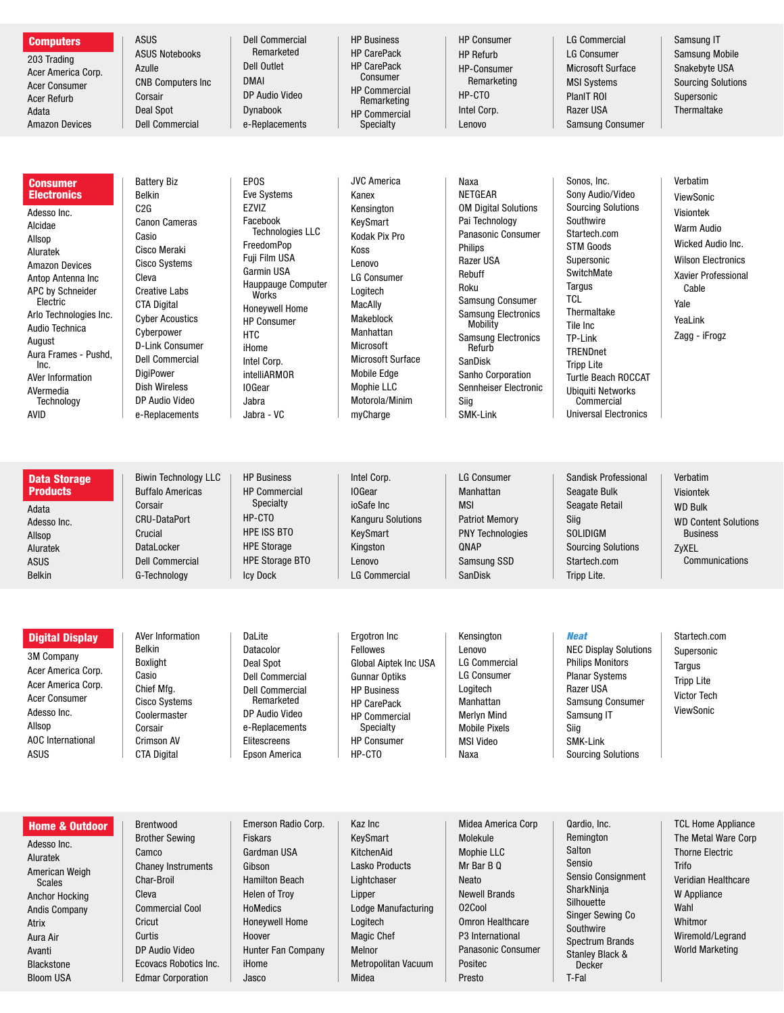| <b>Computers</b><br>203 Trading<br>Acer America Corp.<br><b>Acer Consumer</b><br><b>Acer Refurb</b><br>Adata<br><b>Amazon Devices</b>                                                                                                                                                                            | <b>ASUS</b><br><b>ASUS Notebooks</b><br>Azulle<br><b>CNB Computers Inc</b><br>Corsair<br><b>Deal Spot</b><br><b>Dell Commercial</b>                                                                                                                                                                                                      | <b>Dell Commercial</b><br>Remarketed<br><b>Dell Outlet</b><br><b>DMAI</b><br>DP Audio Video<br><b>Dynabook</b><br>e-Replacements                                                                                                                                                                                         | <b>HP Business</b><br><b>HP CarePack</b><br><b>HP CarePack</b><br>Consumer<br><b>HP Commercial</b><br>Remarketing<br><b>HP Commercial</b><br>Specialty                                                                                                                                   | <b>HP Consumer</b><br><b>HP Refurb</b><br><b>HP-Consumer</b><br>Remarketing<br>HP-CTO<br>Intel Corp.<br>Lenovo                                                                                                                                                                                                                           | <b>LG Commercial</b><br><b>LG Consumer</b><br><b>Microsoft Surface</b><br><b>MSI Systems</b><br>PlanIT ROI<br>Razer USA<br><b>Samsung Consumer</b>                                                                                                                                                                                                      | Samsung IT<br><b>Samsung Mobile</b><br>Snakebyte USA<br><b>Sourcing Solutions</b><br>Supersonic<br>Thermaltake                                                                       |
|------------------------------------------------------------------------------------------------------------------------------------------------------------------------------------------------------------------------------------------------------------------------------------------------------------------|------------------------------------------------------------------------------------------------------------------------------------------------------------------------------------------------------------------------------------------------------------------------------------------------------------------------------------------|--------------------------------------------------------------------------------------------------------------------------------------------------------------------------------------------------------------------------------------------------------------------------------------------------------------------------|------------------------------------------------------------------------------------------------------------------------------------------------------------------------------------------------------------------------------------------------------------------------------------------|------------------------------------------------------------------------------------------------------------------------------------------------------------------------------------------------------------------------------------------------------------------------------------------------------------------------------------------|---------------------------------------------------------------------------------------------------------------------------------------------------------------------------------------------------------------------------------------------------------------------------------------------------------------------------------------------------------|--------------------------------------------------------------------------------------------------------------------------------------------------------------------------------------|
|                                                                                                                                                                                                                                                                                                                  |                                                                                                                                                                                                                                                                                                                                          |                                                                                                                                                                                                                                                                                                                          |                                                                                                                                                                                                                                                                                          |                                                                                                                                                                                                                                                                                                                                          |                                                                                                                                                                                                                                                                                                                                                         |                                                                                                                                                                                      |
| Consumer<br><b>Electronics</b><br>Adesso Inc.<br>Alcidae<br>Allsop<br>Aluratek<br><b>Amazon Devices</b><br>Antop Antenna Inc<br><b>APC by Schneider</b><br>Electric<br>Arlo Technologies Inc.<br>Audio Technica<br>August<br>Aura Frames - Pushd,<br>Inc.<br>AVer Information<br>AVermedia<br>Technology<br>AVID | <b>Battery Biz</b><br>Belkin<br>C2G<br><b>Canon Cameras</b><br>Casio<br>Cisco Meraki<br><b>Cisco Systems</b><br>Cleva<br><b>Creative Labs</b><br><b>CTA Digital</b><br><b>Cyber Acoustics</b><br>Cyberpower<br><b>D-Link Consumer</b><br><b>Dell Commercial</b><br>DigiPower<br><b>Dish Wireless</b><br>DP Audio Video<br>e-Replacements | <b>EPOS</b><br><b>Eve Systems</b><br><b>EZVIZ</b><br>Facebook<br><b>Technologies LLC</b><br>FreedomPop<br>Fuji Film USA<br>Garmin USA<br>Hauppauge Computer<br>Works<br><b>Honeywell Home</b><br><b>HP Consumer</b><br><b>HTC</b><br>iHome<br>Intel Corp.<br><b>intelliARMOR</b><br><b>IOGear</b><br>Jabra<br>Jabra - VC | <b>JVC America</b><br>Kanex<br>Kensington<br>KeySmart<br>Kodak Pix Pro<br>Koss<br>Lenovo<br><b>LG Consumer</b><br>Logitech<br><b>MacAlly</b><br>Makeblock<br>Manhattan<br>Microsoft<br><b>Microsoft Surface</b><br><b>Mobile Edge</b><br><b>Mophie LLC</b><br>Motorola/Minim<br>myCharge | Naxa<br><b>NETGEAR</b><br><b>OM Digital Solutions</b><br>Pai Technology<br>Panasonic Consumer<br><b>Philips</b><br>Razer USA<br>Rebuff<br>Roku<br>Samsung Consumer<br><b>Samsung Electronics</b><br>Mobility<br><b>Samsung Electronics</b><br>Refurb<br>SanDisk<br>Sanho Corporation<br>Sennheiser Electronic<br>Siig<br><b>SMK-Link</b> | Sonos, Inc.<br>Sony Audio/Video<br><b>Sourcing Solutions</b><br>Southwire<br>Startech.com<br><b>STM Goods</b><br>Supersonic<br>SwitchMate<br>Targus<br><b>TCL</b><br>Thermaltake<br>Tile Inc<br>TP-Link<br><b>TRENDnet</b><br><b>Tripp Lite</b><br><b>Turtle Beach ROCCAT</b><br><b>Ubiquiti Networks</b><br>Commercial<br><b>Universal Electronics</b> | Verbatim<br>ViewSonic<br><b>Visiontek</b><br><b>Warm Audio</b><br>Wicked Audio Inc.<br><b>Wilson Electronics</b><br>Xavier Professional<br>Cable<br>Yale<br>YeaLink<br>Zagg - iFrogz |
|                                                                                                                                                                                                                                                                                                                  |                                                                                                                                                                                                                                                                                                                                          |                                                                                                                                                                                                                                                                                                                          |                                                                                                                                                                                                                                                                                          |                                                                                                                                                                                                                                                                                                                                          |                                                                                                                                                                                                                                                                                                                                                         |                                                                                                                                                                                      |
| <b>Data Storage</b><br><b>Products</b><br>Adata<br>Adesso Inc.<br>Allsop<br>Aluratek<br><b>ASUS</b><br><b>Belkin</b>                                                                                                                                                                                             | <b>Biwin Technology LLC</b><br><b>Buffalo Americas</b><br>Corsair<br><b>CRU-DataPort</b><br>Crucial<br>DataLocker<br><b>Dell Commercial</b><br>G-Technology                                                                                                                                                                              | <b>HP Business</b><br><b>HP Commercial</b><br>Specialty<br>HP-CTO<br><b>HPE ISS BTO</b><br><b>HPE Storage</b><br><b>HPE Storage BTO</b><br><b>Icy Dock</b>                                                                                                                                                               | Intel Corp.<br><b>IOGear</b><br>ioSafe Inc<br><b>Kanguru Solutions</b><br>KeySmart<br>Kingston<br>Lenovo<br><b>LG Commercial</b>                                                                                                                                                         | <b>LG Consumer</b><br>Manhattan<br><b>MSI</b><br><b>Patriot Memory</b><br><b>PNY Technologies</b><br>QNAP<br>Samsung SSD<br>SanDisk                                                                                                                                                                                                      | Sandisk Professional<br>Seagate Bulk<br><b>Seagate Retail</b><br>Siig<br><b>SOLIDIGM</b><br><b>Sourcing Solutions</b><br>Startech.com<br>Tripp Lite.                                                                                                                                                                                                    | Verbatim<br><b>Visiontek</b><br><b>WD Bulk</b><br><b>WD Content Solutions</b><br><b>Business</b><br>ZyXEL<br>Communications                                                          |
|                                                                                                                                                                                                                                                                                                                  |                                                                                                                                                                                                                                                                                                                                          |                                                                                                                                                                                                                                                                                                                          |                                                                                                                                                                                                                                                                                          |                                                                                                                                                                                                                                                                                                                                          |                                                                                                                                                                                                                                                                                                                                                         |                                                                                                                                                                                      |
| <b>Digital Display</b><br><b>3M Company</b><br>Acer America Corp.<br>Acer America Corp.<br><b>Acer Consumer</b><br>Adesso Inc.<br>Allsop<br><b>AOC</b> International<br><b>ASUS</b>                                                                                                                              | AVer Information<br><b>Belkin</b><br><b>Boxlight</b><br>Casio<br>Chief Mfg.<br><b>Cisco Systems</b><br>Coolermaster<br>Corsair<br><b>Crimson AV</b><br><b>CTA Digital</b>                                                                                                                                                                | DaLite<br>Datacolor<br>Deal Spot<br><b>Dell Commercial</b><br><b>Dell Commercial</b><br>Remarketed<br>DP Audio Video<br>e-Replacements<br>Elitescreens<br>Epson America                                                                                                                                                  | Ergotron Inc<br>Fellowes<br>Global Aiptek Inc USA<br><b>Gunnar Optiks</b><br><b>HP Business</b><br><b>HP CarePack</b><br><b>HP Commercial</b><br>Specialty<br><b>HP Consumer</b><br>HP-CTO                                                                                               | Kensington<br>Lenovo<br><b>LG Commercial</b><br><b>LG Consumer</b><br>Logitech<br>Manhattan<br><b>Merlyn Mind</b><br><b>Mobile Pixels</b><br><b>MSI Video</b><br>Naxa                                                                                                                                                                    | <b>Neat</b><br><b>NEC Display Solutions</b><br><b>Philips Monitors</b><br><b>Planar Systems</b><br>Razer USA<br>Samsung Consumer<br>Samsung IT<br>Siig<br>SMK-Link<br><b>Sourcing Solutions</b>                                                                                                                                                         | Startech.com<br>Supersonic<br>Targus<br><b>Tripp Lite</b><br>Victor Tech<br>ViewSonic                                                                                                |
|                                                                                                                                                                                                                                                                                                                  |                                                                                                                                                                                                                                                                                                                                          |                                                                                                                                                                                                                                                                                                                          |                                                                                                                                                                                                                                                                                          |                                                                                                                                                                                                                                                                                                                                          |                                                                                                                                                                                                                                                                                                                                                         |                                                                                                                                                                                      |
|                                                                                                                                                                                                                                                                                                                  |                                                                                                                                                                                                                                                                                                                                          |                                                                                                                                                                                                                                                                                                                          |                                                                                                                                                                                                                                                                                          |                                                                                                                                                                                                                                                                                                                                          |                                                                                                                                                                                                                                                                                                                                                         |                                                                                                                                                                                      |
| <b>Home &amp; Outdoor</b><br>Adesso Inc.<br>Aluratek<br>American Weigh<br><b>Scales</b><br>Anchor Hocking<br><b>Andis Company</b><br><b>Atrix</b><br>Aura Air                                                                                                                                                    | Brentwood<br><b>Brother Sewing</b><br>Camco<br><b>Chaney Instruments</b><br>Char-Broil<br>Cleva<br><b>Commercial Cool</b><br>Cricut<br>Curtis                                                                                                                                                                                            | Emerson Radio Corp.<br><b>Fiskars</b><br>Gardman USA<br>Gibson<br><b>Hamilton Beach</b><br>Helen of Troy<br><b>HoMedics</b><br><b>Honeywell Home</b><br>Hoover                                                                                                                                                           | Kaz Inc<br>KeySmart<br>KitchenAid<br><b>Lasko Products</b><br>Lightchaser<br>Lipper<br>Lodge Manufacturing<br>Logitech<br><b>Magic Chef</b>                                                                                                                                              | Midea America Corp<br>Molekule<br>Mophie LLC<br>Mr Bar B Q<br><b>Neato</b><br><b>Newell Brands</b><br>02Cool<br><b>Omron Healthcare</b><br>P3 International                                                                                                                                                                              | Qardio, Inc.<br>Remington<br>Salton<br>Sensio<br>Sensio Consignment<br>SharkNinja<br>Silhouette<br><b>Singer Sewing Co</b><br>Southwire<br>Snoctrum Brande                                                                                                                                                                                              | <b>TCL Home Appliance</b><br>The Metal Ware Corp<br><b>Thorne Electric</b><br>Trifo<br>Veridian Healthcare<br>W Appliance<br>Wahl<br>Whitmor<br>Wiremold/Legrand                     |

Avanti Blackstone Bloom USA

DP Audio Video Ecovacs Robotics Inc. Edmar Corporation

Hunter Fan Company

Melnor

Midea

Metropolitan Vacuum

Panasonic Consumer

Spectrum Brands Stanley Black & Decker T-Fal

World Marketing

Positec Presto

iHome Jasco